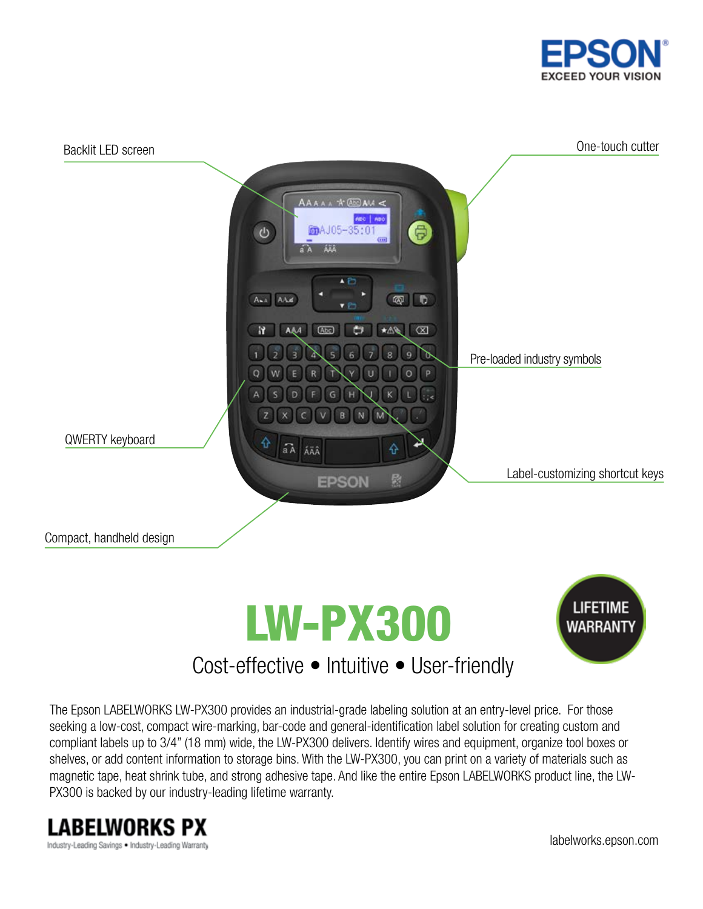



The Epson LABELWORKS LW-PX300 provides an industrial-grade labeling solution at an entry-level price. For those seeking a low-cost, compact wire-marking, bar-code and general-identification label solution for creating custom and compliant labels up to 3/4" (18 mm) wide, the LW-PX300 delivers. Identify wires and equipment, organize tool boxes or shelves, or add content information to storage bins. With the LW-PX300, you can print on a variety of materials such as magnetic tape, heat shrink tube, and strong adhesive tape. And like the entire Epson LABELWORKS product line, the LW-PX300 is backed by our industry-leading lifetime warranty.



labelworks.epson.com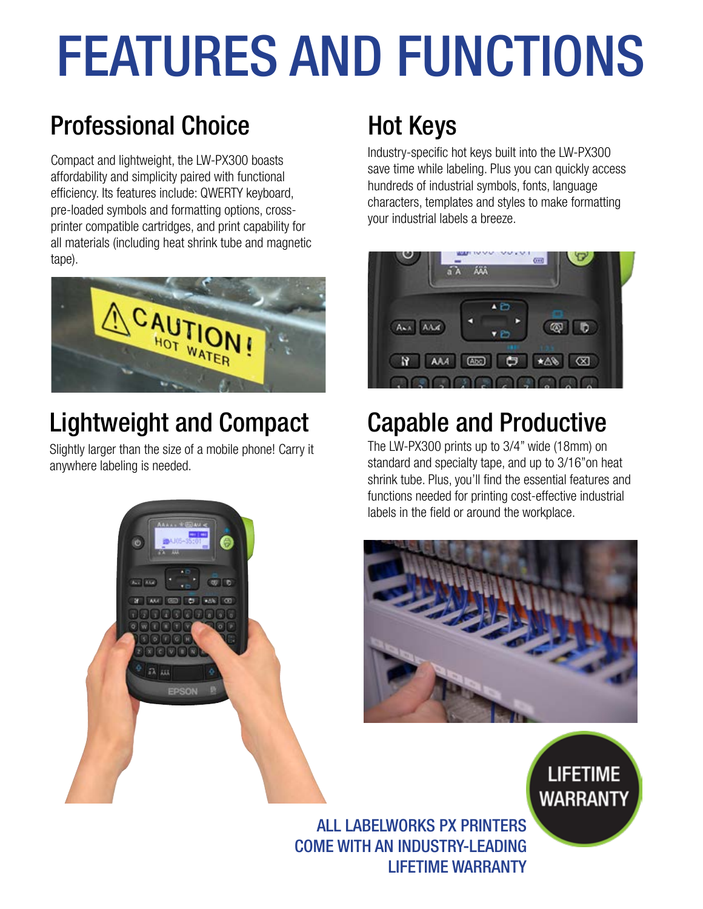# FEATURES AND FUNCTIONS

# Professional Choice Hot Keys

Compact and lightweight, the LW-PX300 boasts affordability and simplicity paired with functional efficiency. Its features include: QWERTY keyboard, pre-loaded symbols and formatting options, crossprinter compatible cartridges, and print capability for all materials (including heat shrink tube and magnetic tape).



# Lightweight and Compact Capable and Productive

Slightly larger than the size of a mobile phone! Carry it anywhere labeling is needed.



Industry-specific hot keys built into the LW-PX300 save time while labeling. Plus you can quickly access hundreds of industrial symbols, fonts, language characters, templates and styles to make formatting your industrial labels a breeze.



The LW-PX300 prints up to 3/4" wide (18mm) on standard and specialty tape, and up to 3/16"on heat shrink tube. Plus, you'll find the essential features and functions needed for printing cost-effective industrial labels in the field or around the workplace.



**LIFETIME** 

**WARRANTY** 

ALL LABELWORKS PX PRINTERS COME WITH AN INDUSTRY-LEADING LIFETIME WARRANTY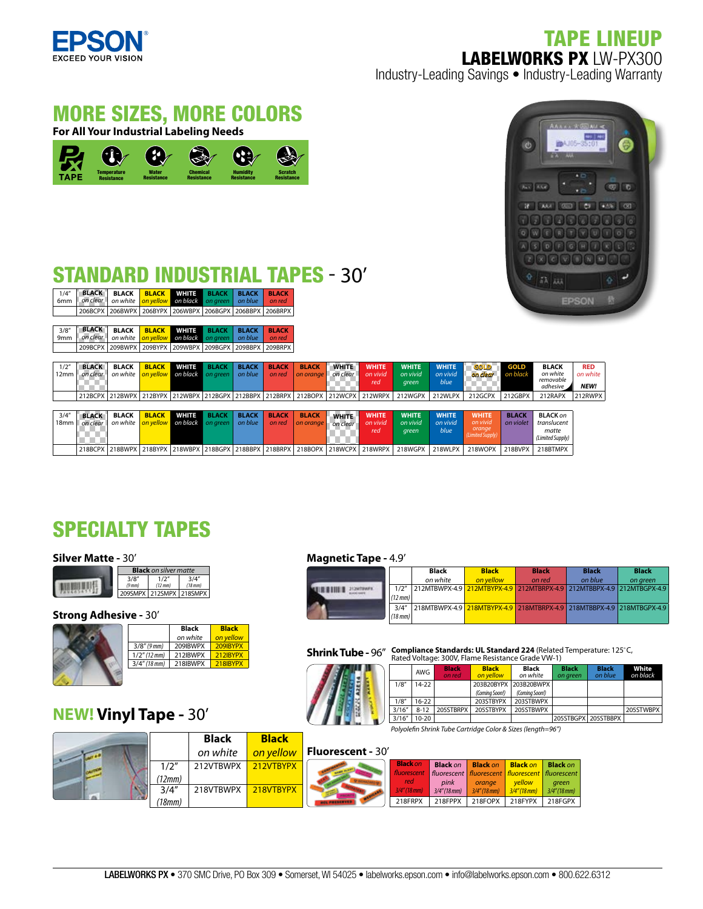

Temperature Resistance

**TAPE** 

## TAPE LINEUP LABELWORKS PX LW-PX300 Industry-Leading Savings • Industry-Leading Warranty



Chemical Resistance

**Humidity Humidity** Scratch<br>Resistance Resistanc

Resistance

MORE SIZES, MORE COLORS

**For All Your Industrial Labeling Needs**

Water Resistance

# STANDARD INDUSTRIAL TAPES - 30'

| 1/4''            | <b>BLACK</b> | <b>BLACK</b>    | <b>BLACK</b> | <b>WHITE</b> | <b>BLACK</b>    | <b>BLACK</b> | <b>BLACK</b>    |              |                                                                                 |              |              |              |                  |              |                       |              |
|------------------|--------------|-----------------|--------------|--------------|-----------------|--------------|-----------------|--------------|---------------------------------------------------------------------------------|--------------|--------------|--------------|------------------|--------------|-----------------------|--------------|
| 6 <sub>mm</sub>  | on clear     | on white        | on vellow    | on black     | on green        | on blue      | on red          |              |                                                                                 |              |              |              |                  |              |                       | <b>EPSON</b> |
|                  | 206BCPX      | 206BWPX 206BYPX |              | 206WBPX      | 206BGPX         |              | 206BBPX 206BRPX |              |                                                                                 |              |              |              |                  |              |                       |              |
|                  |              |                 |              |              |                 |              |                 |              |                                                                                 |              |              |              |                  |              |                       |              |
| 3/8''            | <b>BLACK</b> | <b>BLACK</b>    | <b>BLACK</b> | <b>WHITE</b> | <b>BLACK</b>    | <b>BLACK</b> | <b>BLACK</b>    |              |                                                                                 |              |              |              |                  |              |                       |              |
| 9 <sub>mm</sub>  | on clear     | on white        | on vellow    | on black     | on areen        | on blue      | on red          |              |                                                                                 |              |              |              |                  |              |                       |              |
|                  | 209BCPX      | 209BWPX 209BYPX |              |              | 209WBPX 209BGPX |              | 209BBPX 209BRPX |              |                                                                                 |              |              |              |                  |              |                       |              |
|                  |              |                 |              |              |                 |              |                 |              |                                                                                 |              |              |              |                  |              |                       |              |
| 1/2"             | <b>BLACK</b> | <b>BLACK</b>    | <b>BLACK</b> | <b>WHITE</b> | <b>BLACK</b>    | <b>BLACK</b> | <b>BLACK</b>    | <b>BLACK</b> | <b>WHITE</b>                                                                    | <b>WHITE</b> | <b>WHITE</b> | <b>WHITE</b> | <b>GOLD</b>      | <b>GOLD</b>  | <b>BLACK</b>          | <b>RED</b>   |
| 12mm             | on clear     | on white        | on vellow    | on black     | on areen        | on blue      | on red          | on orange    | on clear                                                                        | on vivid     | on vivid     | on vivid     | on clear         | on black     | on white              | on white     |
|                  |              |                 |              |              |                 |              |                 |              |                                                                                 | red          | green        | blue         |                  |              | removable<br>adhesive | NEW!         |
|                  |              |                 |              |              |                 |              |                 |              |                                                                                 |              |              |              |                  |              |                       |              |
|                  |              |                 |              |              |                 |              |                 |              | 212BCPX 212BWPX 212BYPX 212WBPX 212BGPX 212BBPX 212BRPX 212BOPX 212WCPX 212WRPX |              | 212WGPX      | 212WLPX      | 212GCPX          | 212GBPX      | 212RAPX               | 212RWPX      |
|                  |              |                 |              |              |                 |              |                 |              |                                                                                 |              |              |              |                  |              |                       |              |
| 3/4''            | <b>BLACK</b> | <b>BLACK</b>    | <b>BLACK</b> | <b>WHITE</b> | <b>BLACK</b>    | <b>BLACK</b> | <b>BLACK</b>    | <b>BLACK</b> | <b>WHITE</b>                                                                    | <b>WHITE</b> | <b>WHITE</b> | <b>WHITE</b> | <b>WHITE</b>     | <b>BLACK</b> | <b>BLACK on</b>       |              |
| 18 <sub>mm</sub> | on clear     | on white        | on yellow    | on black     | on green        | on blue      | on red          | on orange    | on clear                                                                        | on vivid     | on vivid     | on vivid     | on vivid         | on violet    | translucent           |              |
|                  |              |                 |              |              |                 |              |                 |              |                                                                                 | red          | green        | blue         | orange           |              | matte                 |              |
|                  |              |                 |              |              |                 |              |                 |              |                                                                                 |              |              |              | (Limited Supply) |              | (Limited Supply)      |              |
|                  |              |                 |              |              |                 |              |                 |              | 218BCPX 218BWPX 218BYPX 218WBPX 218BGPX 218BBPX 218BRPX 218BOPX 218WCPX 218WRPX |              | 218WGPX      | 218WLPX      | 218WOPX          | 218BVPX      | 218BTMPX              |              |

# SPECIALTY TAPES

#### **Silver Matte -** 30'

|             | <b>Black</b> on silver matte |              |
|-------------|------------------------------|--------------|
| 3/8''       | 1/2''                        | 3/4''        |
| $(9$ mm $)$ | (12 mm)                      | $(18$ mm $)$ |
|             | 209SMPX 212SMPX 218SMPX      |              |

### **Strong Adhesive - 30'**



# **NEW! Vinyl Tape -** 30'

#### **Magnetic Tape -** 4.9'

| ----------- |              |                                                                       |              |              |              |              |
|-------------|--------------|-----------------------------------------------------------------------|--------------|--------------|--------------|--------------|
|             |              | <b>Black</b>                                                          | <b>Black</b> | <b>Black</b> | <b>Black</b> | <b>Black</b> |
|             |              | on white                                                              | on vellow    | on red       | on blue      | on areen     |
|             | 1/2"         | 212MTBWPX-4.9 212MTBYPX-4.9 212MTBRPX-4.9 212MTBBPX-4.9 212MTBGPX-4.9 |              |              |              |              |
|             | (12 mm)      |                                                                       |              |              |              |              |
|             | 3/4''        | 218MTBWPX-4.9 218MTBYPX-4.9 218MTBRPX-4.9 218MTBBPX-4.9 218MTBGPX-4.9 |              |              |              |              |
|             | $(18$ mm $)$ |                                                                       |              |              |              |              |

**Shrink Tube - 96<sup>"</sup> Compliance Standards: UL Standard 224** (Related Temperature: 125°C, **Rated VII** Fundal VIII, Fundal Of Pender Of Pender Comperature: 125°C,

|  |        | AWG      | <b>Black</b><br>on red | <b>Black</b><br>on vellow | Black<br>on white     | <b>Black</b><br>on areen | <b>Black</b><br>on blue | White<br>on black |
|--|--------|----------|------------------------|---------------------------|-----------------------|--------------------------|-------------------------|-------------------|
|  | 1/8''  | 14-22    |                        |                           | 203B20BYPX 203B20BWPX |                          |                         |                   |
|  |        |          |                        | (Comina Soon!)            | (Comina Soon!)        |                          |                         |                   |
|  | 1/8''  | $16-22$  |                        | 203STBYPX                 | 203STBWPX             |                          |                         |                   |
|  | 3/16'' | $8 - 12$ | 205STBRPX              | 205STBYPX                 | 205STBWPX             |                          |                         | 205STWBPX         |
|  | 3/16'' | 10-20    |                        |                           |                       |                          | 205STBGPX 205STBBPX     |                   |

*Polyole n Shrink Tube Cartridge Color & Sizes (length=96")*

|        | <b>Black</b> | <b>Black</b> |                          |                    |                 |                           |                                                                 |                          |
|--------|--------------|--------------|--------------------------|--------------------|-----------------|---------------------------|-----------------------------------------------------------------|--------------------------|
|        | on white     | on vellow    | <b>Fluorescent - 30'</b> |                    |                 |                           |                                                                 |                          |
| 1/2"   | 212VTBWPX    | 212VTBYPX    |                          | <b>Black on</b>    | <b>Black on</b> | <b>Black on</b>           | <b>Black on</b>                                                 | <b>Black on</b>          |
| 12mm   |              |              |                          | fluorescent<br>red | pink            |                           | fluorescent   fluorescent   fluorescent   fluorescent<br>vellow |                          |
| 3/4''  | 218VTBWPX    | 218VTBYPX    |                          | $3/4''$ (18 mm)    | $3/4''$ (18 mm) | orange<br>$3/4''$ (18 mm) | $3/4''(18$ mm)                                                  | green<br>$3/4''$ (18 mm) |
| ′18mm, |              |              |                          | 218FRPX            | 218FPPX         | 218FOPX                   | 218FYPX                                                         | 218FGPX                  |